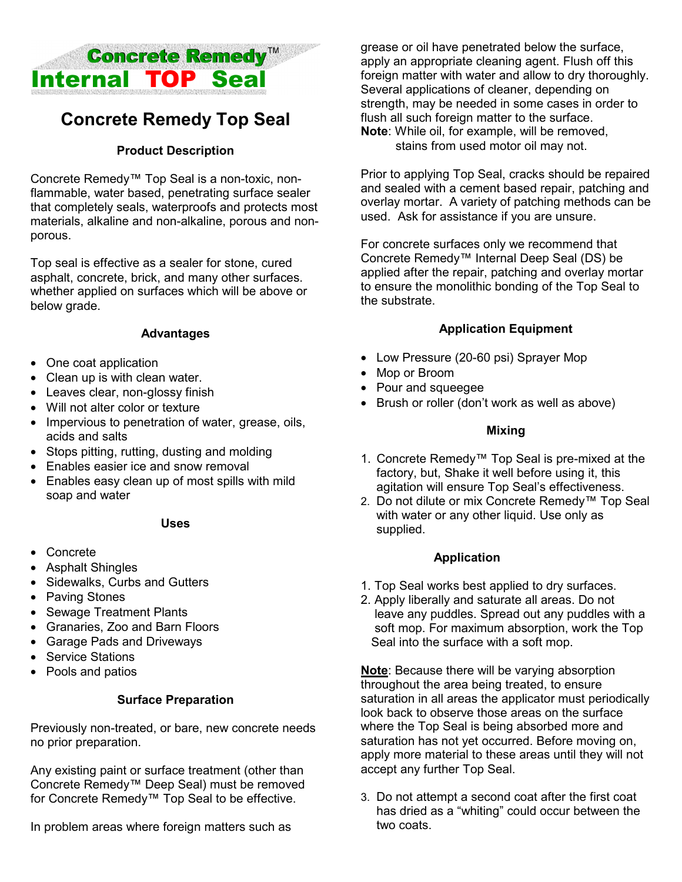

# **Concrete Remedy Top Seal**

## **Product Description**

Concrete Remedy™ Top Seal is a non-toxic, nonflammable, water based, penetrating surface sealer that completely seals, waterproofs and protects most materials, alkaline and non-alkaline, porous and nonporous.

Top seal is effective as a sealer for stone, cured asphalt, concrete, brick, and many other surfaces. whether applied on surfaces which will be above or below grade.

## **Advantages**

- One coat application
- Clean up is with clean water.
- Leaves clear, non-glossy finish
- Will not alter color or texture
- Impervious to penetration of water, grease, oils, acids and salts
- Stops pitting, rutting, dusting and molding
- Enables easier ice and snow removal
- Enables easy clean up of most spills with mild soap and water

#### **Uses**

- Concrete
- Asphalt Shingles
- Sidewalks, Curbs and Gutters
- Paving Stones
- Sewage Treatment Plants
- Granaries, Zoo and Barn Floors
- Garage Pads and Driveways
- Service Stations
- Pools and patios

## **Surface Preparation**

Previously non-treated, or bare, new concrete needs no prior preparation.

Any existing paint or surface treatment (other than Concrete Remedy™ Deep Seal) must be removed for Concrete Remedy™ Top Seal to be effective.

In problem areas where foreign matters such as

grease or oil have penetrated below the surface, apply an appropriate cleaning agent. Flush off this foreign matter with water and allow to dry thoroughly. Several applications of cleaner, depending on strength, may be needed in some cases in order to flush all such foreign matter to the surface. **Note**: While oil, for example, will be removed, stains from used motor oil may not.

Prior to applying Top Seal, cracks should be repaired and sealed with a cement based repair, patching and overlay mortar. A variety of patching methods can be used. Ask for assistance if you are unsure.

For concrete surfaces only we recommend that Concrete Remedy™ Internal Deep Seal (DS) be applied after the repair, patching and overlay mortar to ensure the monolithic bonding of the Top Seal to the substrate.

## **Application Equipment**

- Low Pressure (20-60 psi) Sprayer Mop
- Mop or Broom
- Pour and squeegee
- Brush or roller (don't work as well as above)

#### **Mixing**

- 1. Concrete Remedy™ Top Seal is pre-mixed at the factory, but, Shake it well before using it, this agitation will ensure Top Seal's effectiveness.
- 2. Do not dilute or mix Concrete Remedy™ Top Seal with water or any other liquid. Use only as supplied.

#### **Application**

- 1. Top Seal works best applied to dry surfaces.
- 2. Apply liberally and saturate all areas. Do not leave any puddles. Spread out any puddles with a soft mop. For maximum absorption, work the Top Seal into the surface with a soft mop.

**Note**: Because there will be varying absorption throughout the area being treated, to ensure saturation in all areas the applicator must periodically look back to observe those areas on the surface where the Top Seal is being absorbed more and saturation has not yet occurred. Before moving on, apply more material to these areas until they will not accept any further Top Seal.

3. Do not attempt a second coat after the first coat has dried as a "whiting" could occur between the two coats.